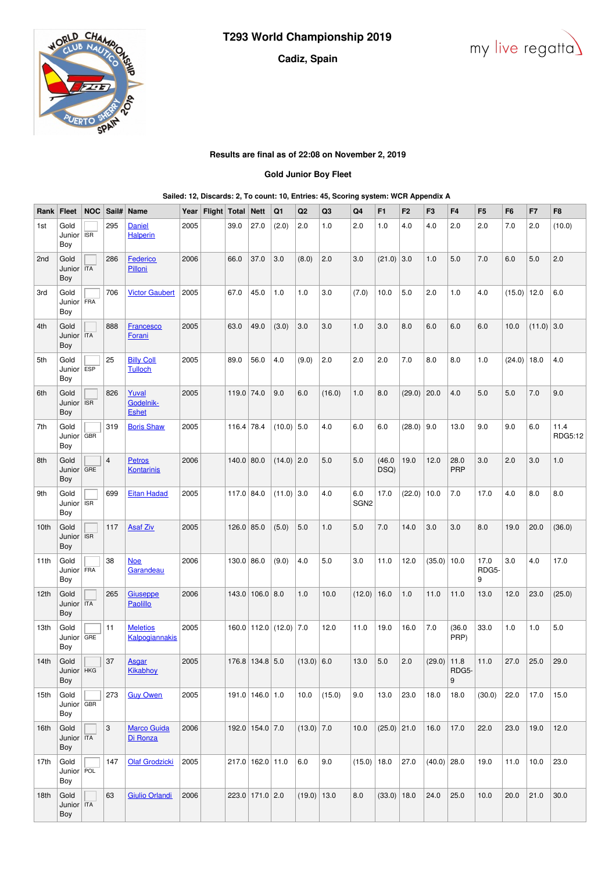# **Cadiz, Spain**





# **Results are final as of 22:08 on November 2, 2019**

## **Gold Junior Boy Fleet**

### **Sailed: 12, Discards: 2, To count: 10, Entries: 45, Scoring system: WCR Appendix A**

| Rank             | Fleet                              | <b>NOC</b> | Sail#                   | Name                                | Year | Flight Total |              | <b>Nett</b>      | Q1                             | Q <sub>2</sub> | Q <sub>3</sub> | Q4                          | F <sub>1</sub> | F <sub>2</sub> | F <sub>3</sub> | F <sub>4</sub> | F <sub>5</sub>     | F <sub>6</sub> | F7           | F <sub>8</sub>  |
|------------------|------------------------------------|------------|-------------------------|-------------------------------------|------|--------------|--------------|------------------|--------------------------------|----------------|----------------|-----------------------------|----------------|----------------|----------------|----------------|--------------------|----------------|--------------|-----------------|
| 1st              | Gold<br>Junior<br>Boy              | <b>ISR</b> | 295                     | <b>Daniel</b><br><b>Halperin</b>    | 2005 |              | 39.0         | 27.0             | (2.0)                          | 2.0            | 1.0            | 2.0                         | 1.0            | 4.0            | 4.0            | 2.0            | 2.0                | 7.0            | 2.0          | (10.0)          |
| 2nd              | Gold<br>Junior<br>Boy              | <b>ITA</b> | 286                     | Federico<br>Pilloni                 | 2006 |              | 66.0         | 37.0             | 3.0                            | (8.0)          | 2.0            | 3.0                         | $(21.0)$ 3.0   |                | 1.0            | 5.0            | 7.0                | 6.0            | 5.0          | 2.0             |
| 3rd              | Gold<br>Junior<br>Boy              | FRA        | 706                     | <b>Victor Gaubert</b>               | 2005 |              | 67.0         | 45.0             | 1.0                            | 1.0            | 3.0            | (7.0)                       | 10.0           | 5.0            | 2.0            | 1.0            | 4.0                | (15.0)         | 12.0         | 6.0             |
| 4th              | Gold<br>Junior<br>Boy              | <b>ITA</b> | 888                     | <b>Francesco</b><br>Forani          | 2005 |              | 63.0         | 49.0             | (3.0)                          | 3.0            | 3.0            | 1.0                         | 3.0            | 8.0            | 6.0            | 6.0            | 6.0                | 10.0           | $(11.0)$ 3.0 |                 |
| 5th              | Gold<br>Junior<br>Boy              | <b>ESP</b> | 25                      | <b>Billy Coll</b><br><b>Tulloch</b> | 2005 |              | 89.0         | 56.0             | 4.0                            | (9.0)          | 2.0            | 2.0                         | 2.0            | 7.0            | 8.0            | 8.0            | 1.0                | (24.0)         | 18.0         | 4.0             |
| 6th              | Gold<br>Junior<br>Boy              | <b>ISR</b> | 826                     | Yuval<br>Godelnik-<br><b>Eshet</b>  | 2005 |              | 119.0 74.0   |                  | 9.0                            | 6.0            | (16.0)         | 1.0                         | 8.0            | (29.0)         | 20.0           | 4.0            | 5.0                | 5.0            | 7.0          | 9.0             |
| 7th              | Gold<br>Junior<br>Boy              | <b>GBR</b> | 319                     | <b>Boris Shaw</b>                   | 2005 |              | $116.4$ 78.4 |                  | $(10.0)$ 5.0                   |                | 4.0            | 6.0                         | 6.0            | (28.0)         | 9.0            | 13.0           | 9.0                | 9.0            | 6.0          | 11.4<br>RDG5:12 |
| 8th              | Gold<br>Junior<br>Boy              | GRE        | $\overline{\mathbf{4}}$ | <b>Petros</b><br><b>Kontarinis</b>  | 2006 |              | 140.0 80.0   |                  | $(14.0)$ 2.0                   |                | 5.0            | 5.0                         | (46.0)<br>DSQ) | 19.0           | 12.0           | 28.0<br>PRP    | 3.0                | 2.0            | 3.0          | 1.0             |
| 9th              | Gold<br>Junior<br>Boy              | <b>ISR</b> | 699                     | <b>Eitan Hadad</b>                  | 2005 |              | 117.0 84.0   |                  | $(11.0)$ 3.0                   |                | 4.0            | $6.0\,$<br>SGN <sub>2</sub> | 17.0           | (22.0)         | 10.0           | 7.0            | 17.0               | 4.0            | 8.0          | $_{\rm 8.0}$    |
| 10th             | Gold<br>Junior<br>Boy              | <b>ISR</b> | 117                     | <b>Asaf Ziv</b>                     | 2005 |              | 126.0 85.0   |                  | (5.0)                          | 5.0            | 1.0            | 5.0                         | 7.0            | 14.0           | 3.0            | 3.0            | 8.0                | 19.0           | 20.0         | (36.0)          |
| 11th             | Gold<br>Junior   FRA<br>Boy        |            | 38                      | <u>Noe</u><br>Garandeau             | 2006 |              | $130.0$ 86.0 |                  | (9.0)                          | 4.0            | 5.0            | 3.0                         | 11.0           | 12.0           | $(35.0)$ 10.0  |                | 17.0<br>RDG5-<br>9 | 3.0            | 4.0          | 17.0            |
| 12th             | Gold<br>Junior<br>Boy              | <b>ITA</b> | 265                     | Giuseppe<br>Paolillo                | 2006 |              |              | 143.0 106.0 8.0  |                                | 1.0            | 10.0           | (12.0)                      | 16.0           | 1.0            | 11.0           | 11.0           | 13.0               | 12.0           | 23.0         | (25.0)          |
| 13th             | Gold<br>Junior<br>Boy              | GRE        | 11                      | <b>Meletios</b><br>Kalpogiannakis   | 2005 |              |              |                  | $160.0$   112.0   (12.0)   7.0 |                | 12.0           | 11.0                        | 19.0           | 16.0           | 7.0            | (36.0)<br>PRP) | 33.0               | 1.0            | 1.0          | 5.0             |
| 14 <sub>th</sub> | Gold<br>Junior   HKG<br>Boy        |            | 37                      | Asgar<br><b>Kikabhoy</b>            | 2005 |              |              | 176.8 134.8 5.0  |                                | $(13.0)$ 6.0   |                | 13.0                        | 5.0            | 2.0            | $(29.0)$ 11.8  | RDG5-<br>9     | 11.0               | 27.0           | 25.0         | 29.0            |
| 15th             | Gold<br>Junior $\sqrt{GBR}$<br>Boy |            | 273                     | <b>Guy Owen</b>                     | 2005 |              |              | 191.0 146.0 1.0  |                                | 10.0           | (15.0)         | 9.0                         | 13.0           | 23.0           | 18.0           | 18.0           | (30.0)             | 22.0           | 17.0         | 15.0            |
| 16th             | Gold<br>Junior TTA<br>Boy          |            | 3                       | <b>Marco Guida</b><br>Di Ronza      | 2006 |              |              | 192.0 154.0 7.0  |                                | $(13.0)$ 7.0   |                | 10.0                        | $(25.0)$ 21.0  |                | 16.0           | 17.0           | 22.0               | 23.0           | 19.0         | 12.0            |
| 17th             | Gold<br>Junior   POL<br>Boy        |            | 147                     | <b>Olaf Grodzicki</b>               | 2005 |              |              | 217.0 162.0 11.0 |                                | 6.0            | 9.0            | (15.0)                      | 18.0           | 27.0           | $(40.0)$ 28.0  |                | 19.0               | 11.0           | 10.0         | 23.0            |
| 18th             | Gold<br>Junior   ITA<br>Boy        |            | 63                      | <b>Giulio Orlandi</b>               | 2006 |              |              | 223.0 171.0 2.0  |                                | $(19.0)$ 13.0  |                | 8.0                         | $(33.0)$ 18.0  |                | 24.0           | 25.0           | 10.0               | 20.0           | 21.0         | 30.0            |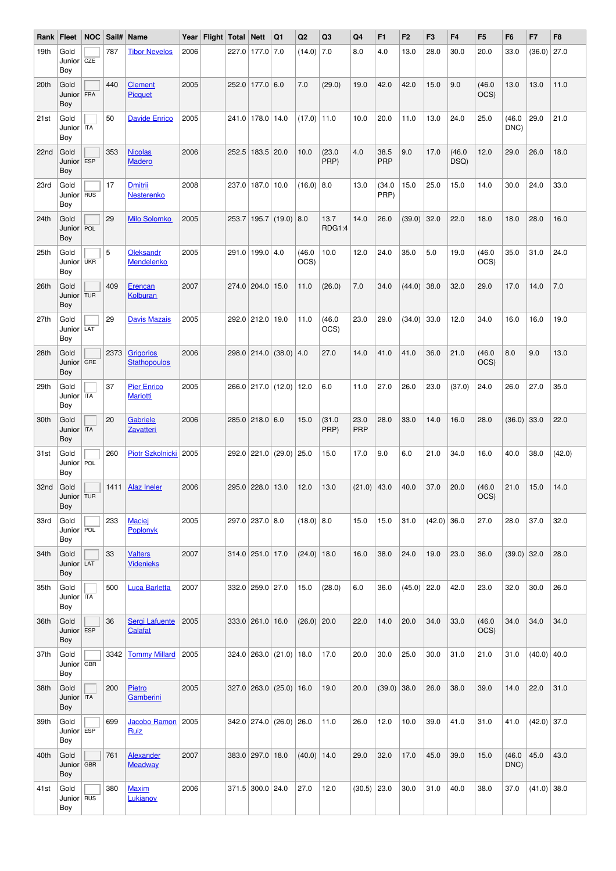| Rank | <b>Fleet</b>                | <b>NOC</b> | Sail# | Name                                    |      | Year   Flight   Total   Nett |                      | Q1                              | Q <sub>2</sub>  | Q3                    | Q4                 | F <sub>1</sub> | F <sub>2</sub> | F <sub>3</sub> | F <sub>4</sub> | F <sub>5</sub> | F6             | F7            | F <sub>8</sub> |
|------|-----------------------------|------------|-------|-----------------------------------------|------|------------------------------|----------------------|---------------------------------|-----------------|-----------------------|--------------------|----------------|----------------|----------------|----------------|----------------|----------------|---------------|----------------|
| 19th | Gold<br>Junior<br>Boy       | CZE        | 787   | <b>Tibor Nevelos</b>                    | 2006 |                              | 227.0 177.0 7.0      |                                 | $(14.0)$ 7.0    |                       | 8.0                | 4.0            | 13.0           | 28.0           | 30.0           | 20.0           | 33.0           | (36.0)        | 27.0           |
| 20th | Gold<br>Junior FRA<br>Boy   |            | 440   | <b>Clement</b><br>Picquet               | 2005 |                              | 252.0 177.0 6.0      |                                 | 7.0             | (29.0)                | 19.0               | 42.0           | 42.0           | 15.0           | 9.0            | (46.0)<br>OCS) | 13.0           | 13.0          | 11.0           |
| 21st | Gold<br>Junior<br>Boy       | <b>ITA</b> | 50    | <b>Davide Enrico</b>                    | 2005 |                              | 241.0 178.0 14.0     |                                 | $(17.0)$   11.0 |                       | 10.0               | 20.0           | 11.0           | 13.0           | 24.0           | 25.0           | (46.0)<br>DNC) | 29.0          | 21.0           |
| 22nd | Gold<br>Junior<br>Boy       | ESP        | 353   | <b>Nicolas</b><br><b>Madero</b>         | 2006 |                              | 252.5 183.5 20.0     |                                 | 10.0            | (23.0)<br>PRP)        | 4.0                | 38.5<br>PRP    | 9.0            | 17.0           | (46.0)<br>DSQ) | 12.0           | 29.0           | 26.0          | 18.0           |
| 23rd | Gold<br>Junior   RUS<br>Boy |            | 17    | <b>Dmitrii</b><br>Nesterenko            | 2008 |                              | 237.0   187.0   10.0 |                                 | $(16.0)$ 8.0    |                       | 13.0               | (34.0)<br>PRP) | 15.0           | 25.0           | 15.0           | 14.0           | 30.0           | 24.0          | 33.0           |
| 24th | Gold<br>Junior<br>Boy       | POL        | 29    | <b>Milo Solomko</b>                     | 2005 |                              |                      | 253.7   195.7   (19.0)   8.0    |                 | 13.7<br><b>RDG1:4</b> | 14.0               | 26.0           | (39.0)         | 32.0           | 22.0           | 18.0           | 18.0           | 28.0          | 16.0           |
| 25th | Gold<br>Junior<br>Boy       | <b>UKR</b> | 5     | <b>Oleksandr</b><br>Mendelenko          | 2005 |                              | 291.0 199.0 4.0      |                                 | (46.0)<br>OCS)  | 10.0                  | 12.0               | 24.0           | 35.0           | 5.0            | 19.0           | (46.0)<br>OCS) | 35.0           | 31.0          | 24.0           |
| 26th | Gold<br>Junior<br>Boy       | <b>TUR</b> | 409   | Erencan<br><b>Kolburan</b>              | 2007 |                              | 274.0 204.0 15.0     |                                 | 11.0            | (26.0)                | 7.0                | 34.0           | (44.0)         | 38.0           | 32.0           | 29.0           | 17.0           | 14.0          | $7.0\,$        |
| 27th | Gold<br>Junior LAT<br>Boy   |            | 29    | <b>Davis Mazais</b>                     | 2005 |                              | 292.0 212.0 19.0     |                                 | 11.0            | (46.0)<br>OCS)        | 23.0               | 29.0           | (34.0)         | 33.0           | 12.0           | 34.0           | 16.0           | 16.0          | 19.0           |
| 28th | Gold<br>Junior<br>Boy       | GRE        | 2373  | <b>Grigorios</b><br><b>Stathopoulos</b> | 2006 |                              |                      | $298.0$ 214.0 (38.0) 4.0        |                 | 27.0                  | 14.0               | 41.0           | 41.0           | 36.0           | 21.0           | (46.0)<br>OCS) | 8.0            | 9.0           | 13.0           |
| 29th | Gold<br>Junior   ITA<br>Boy |            | 37    | <b>Pier Enrico</b><br><b>Mariotti</b>   | 2005 |                              |                      | 266.0 217.0 (12.0) 12.0         |                 | 6.0                   | 11.0               | 27.0           | 26.0           | 23.0           | (37.0)         | 24.0           | 26.0           | 27.0          | 35.0           |
| 30th | Gold<br>Junior   ITA<br>Boy |            | 20    | Gabriele<br>Zavatteri                   | 2006 |                              | 285.0 218.0 6.0      |                                 | 15.0            | (31.0)<br>PRP)        | 23.0<br><b>PRP</b> | 28.0           | 33.0           | 14.0           | 16.0           | 28.0           | (36.0)         | 33.0          | 22.0           |
| 31st | Gold<br>Junior   POL<br>Boy |            | 260   | Piotr Szkolnicki   2005                 |      |                              |                      | 292.0 221.0 (29.0) 25.0         |                 | 15.0                  | 17.0               | 9.0            | 6.0            | 21.0           | 34.0           | 16.0           | 40.0           | 38.0          | (42.0)         |
| 32nd | Gold<br>Junior TUR<br>Boy   |            | 1411  | <b>Alaz Ineler</b>                      | 2006 |                              | 295.0 228.0 13.0     |                                 | 12.0            | 13.0                  | $(21.0)$ 43.0      |                | 40.0           | 37.0           | 20.0           | (46.0)<br>OCS) | 21.0           | 15.0          | 14.0           |
| 33rd | Gold<br>Junior   POL<br>Boy |            | 233   | <b>Maciej</b><br>Poplonyk               | 2005 |                              | 297.0 237.0 8.0      |                                 | $(18.0)$ 8.0    |                       | 15.0               | 15.0           | 31.0           | $(42.0)$ 36.0  |                | 27.0           | 28.0           | 37.0          | 32.0           |
| 34th | Gold<br>Junior LAT<br>Boy   |            | 33    | <b>Valters</b><br><b>Videnieks</b>      | 2007 |                              | 314.0 251.0 17.0     |                                 | $(24.0)$ 18.0   |                       | 16.0               | 38.0           | 24.0           | 19.0           | 23.0           | 36.0           | (39.0)         | 32.0          | 28.0           |
| 35th | Gold<br>Junior TTA<br>Boy   |            | 500   | <b>Luca Barletta</b>                    | 2007 |                              | 332.0 259.0 27.0     |                                 | 15.0            | (28.0)                | 6.0                | 36.0           | $(45.0)$ 22.0  |                | 42.0           | 23.0           | 32.0           | 30.0          | 26.0           |
| 36th | Gold<br>Junior ESP<br>Boy   |            | 36    | Sergi Lafuente<br>Calafat               | 2005 |                              | 333.0 261.0 16.0     |                                 | $(26.0)$ 20.0   |                       | 22.0               | 14.0           | 20.0           | 34.0           | 33.0           | (46.0)<br>OCS) | 34.0           | 34.0          | 34.0           |
| 37th | Gold<br>Junior   GBR<br>Boy |            | 3342  | <b>Tommy Millard</b>                    | 2005 |                              |                      | $324.0$ $263.0$ $(21.0)$ 18.0   |                 | 17.0                  | 20.0               | 30.0           | 25.0           | 30.0           | 31.0           | 21.0           | 31.0           | $(40.0)$ 40.0 |                |
| 38th | Gold<br>Junior   ITA<br>Boy |            | 200   | Pietro<br>Gamberini                     | 2005 |                              |                      | $327.0$ $263.0$ $(25.0)$ 16.0   |                 | 19.0                  | 20.0               | $(39.0)$ 38.0  |                | 26.0           | 38.0           | 39.0           | 14.0           | 22.0          | 31.0           |
| 39th | Gold<br>Junior   ESP<br>Boy |            | 699   | Jacobo Ramon<br>Ruiz                    | 2005 |                              |                      | $342.0$ $274.0$ $(26.0)$ $26.0$ |                 | 11.0                  | 26.0               | 12.0           | 10.0           | 39.0           | 41.0           | 31.0           | 41.0           | $(42.0)$ 37.0 |                |
| 40th | Gold<br>Junior   GBR<br>Boy |            | 761   | Alexander<br><b>Meadway</b>             | 2007 |                              | 383.0 297.0 18.0     |                                 | $(40.0)$ 14.0   |                       | 29.0               | 32.0           | 17.0           | 45.0           | 39.0           | 15.0           | (46.0)<br>DNC) | 45.0          | 43.0           |
| 41st | Gold<br>Junior   RUS<br>Boy |            | 380   | <b>Maxim</b><br>Lukianov                | 2006 |                              | 371.5 300.0 24.0     |                                 | 27.0            | 12.0                  | $(30.5)$ 23.0      |                | 30.0           | 31.0           | 40.0           | 38.0           | 37.0           | $(41.0)$ 38.0 |                |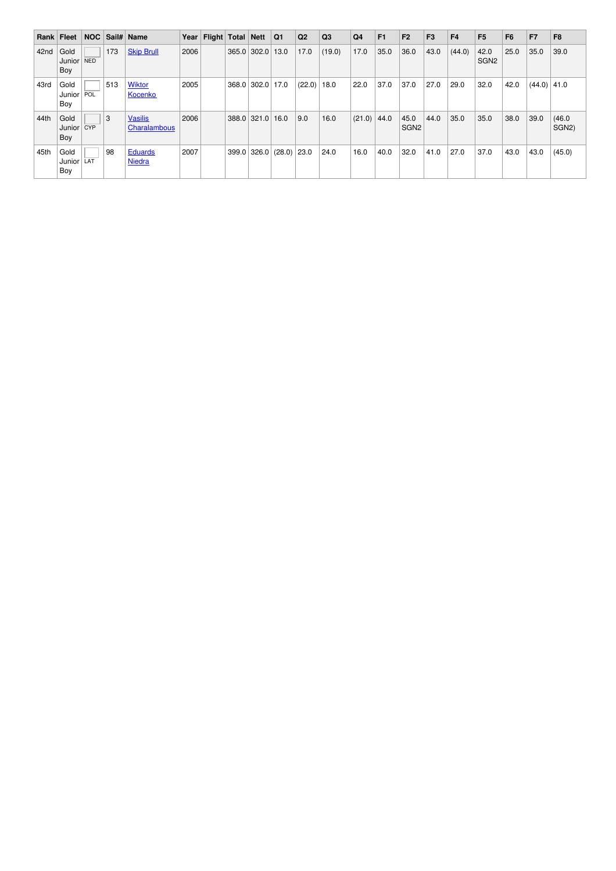|      | Rank Fleet            |     |     | NOC Sail# Name                  |      | Year   Flight   Total   Nett |               | Q <sub>1</sub> | Q2            | Q <sub>3</sub> | Q <sub>4</sub> | F1   | F <sub>2</sub>           | F <sub>3</sub> | F <sub>4</sub> | F <sub>5</sub>           | F <sub>6</sub> | F7            | F <sub>8</sub>               |
|------|-----------------------|-----|-----|---------------------------------|------|------------------------------|---------------|----------------|---------------|----------------|----------------|------|--------------------------|----------------|----------------|--------------------------|----------------|---------------|------------------------------|
| 42nd | Gold<br>Junior<br>Boy | NED | 173 | <b>Skip Brull</b>               | 2006 |                              | $365.0$ 302.0 | 13.0           | 17.0          | (19.0)         | 17.0           | 35.0 | 36.0                     | 43.0           | (44.0)         | 42.0<br>SGN <sub>2</sub> | 25.0           | 35.0          | 39.0                         |
| 43rd | Gold<br>Junior<br>Boy | POL | 513 | <b>Wiktor</b><br>Kocenko        | 2005 |                              | $368.0$ 302.0 | 17.0           | $(22.0)$ 18.0 |                | 22.0           | 37.0 | 37.0                     | 27.0           | 29.0           | 32.0                     | 42.0           | $(44.0)$ 41.0 |                              |
| 44th | Gold<br>Junior<br>Boy | CYP | 3   | <b>Vasilis</b><br>Charalambous  | 2006 |                              | $388.0$ 321.0 | 16.0           | 9.0           | 16.0           | (21.0)         | 44.0 | 45.0<br>SGN <sub>2</sub> | 44.0           | 35.0           | 35.0                     | 38.0           | 39.0          | (46.0)<br>SGN <sub>2</sub> ) |
| 45th | Gold<br>Junior<br>Boy | LAT | 98  | <b>Eduards</b><br><b>Niedra</b> | 2007 |                              | 399.0 326.0   | $(28.0)$ 23.0  |               | 24.0           | 16.0           | 40.0 | 32.0                     | 41.0           | 27.0           | 37.0                     | 43.0           | 43.0          | (45.0)                       |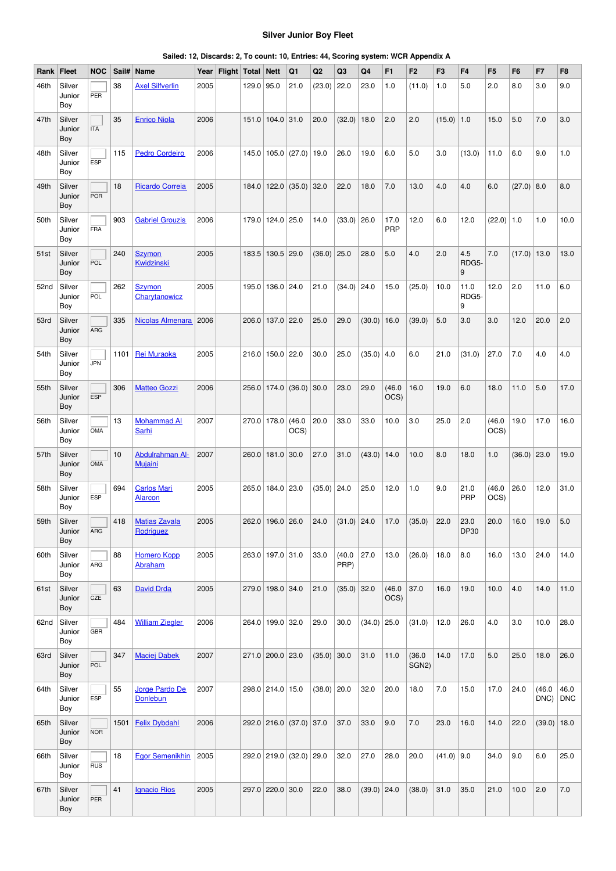### **Silver Junior Boy Fleet**

|  |  |  | Sailed: 12, Discards: 2, To count: 10, Entries: 44, Scoring system: WCR Appendix A |
|--|--|--|------------------------------------------------------------------------------------|
|--|--|--|------------------------------------------------------------------------------------|

| Rank | Fleet                   | <b>NOC</b> | Sail# | Name                                 | Year | Flight   Total   Nett |            |                       | Q1                            | Q2            | Q3             | Q4            | F <sub>1</sub> | F <sub>2</sub>               | F <sub>3</sub> | F <sub>4</sub>     | F <sub>5</sub> | F <sub>6</sub> | F7                      | F <sub>8</sub> |
|------|-------------------------|------------|-------|--------------------------------------|------|-----------------------|------------|-----------------------|-------------------------------|---------------|----------------|---------------|----------------|------------------------------|----------------|--------------------|----------------|----------------|-------------------------|----------------|
| 46th | Silver<br>Junior<br>Boy | PER        | 38    | <b>Axel Silfverlin</b>               | 2005 |                       | 129.0 95.0 |                       | 21.0                          | (23.0)        | 22.0           | 23.0          | 1.0            | (11.0)                       | 1.0            | 5.0                | 2.0            | 8.0            | 3.0                     | 9.0            |
| 47th | Silver<br>Junior<br>Boy | <b>ITA</b> | 35    | <b>Enrico Niola</b>                  | 2006 |                       |            | 151.0   104.0   31.0  |                               | 20.0          | (32.0)         | 18.0          | 2.0            | 2.0                          | $(15.0)$ 1.0   |                    | 15.0           | 5.0            | 7.0                     | 3.0            |
| 48th | Silver<br>Junior<br>Boy | ESP        | 115   | <b>Pedro Cordeiro</b>                | 2006 |                       |            |                       | 145.0   105.0   (27.0)   19.0 |               | 26.0           | 19.0          | 6.0            | 5.0                          | 3.0            | (13.0)             | 11.0           | 6.0            | 9.0                     | 1.0            |
| 49th | Silver<br>Junior<br>Boy | <b>POR</b> | 18    | <b>Ricardo Correia</b>               | 2005 |                       |            |                       | 184.0   122.0   (35.0)   32.0 |               | 22.0           | 18.0          | 7.0            | 13.0                         | 4.0            | 4.0                | 6.0            | (27.0)         | 8.0                     | 8.0            |
| 50th | Silver<br>Junior<br>Boy | <b>FRA</b> | 903   | <b>Gabriel Grouzis</b>               | 2006 |                       |            | 179.0   124.0   25.0  |                               | 14.0          | $(33.0)$ 26.0  |               | 17.0<br>PRP    | 12.0                         | 6.0            | 12.0               | $(22.0)$ 1.0   |                | 1.0                     | 10.0           |
| 51st | Silver<br>Junior<br>Boy | POL        | 240   | <b>Szymon</b><br>Kwidzinski          | 2005 |                       |            | 183.5   130.5   29.0  |                               | $(36.0)$ 25.0 |                | 28.0          | 5.0            | 4.0                          | 2.0            | 4.5<br>RDG5-<br>9  | 7.0            | $(17.0)$ 13.0  |                         | 13.0           |
| 52nd | Silver<br>Junior<br>Boy | POL        | 262   | <b>Szymon</b><br>Charytanowicz       | 2005 |                       |            | 195.0   136.0   24.0  |                               | 21.0          | (34.0)         | 24.0          | 15.0           | (25.0)                       | 10.0           | 11.0<br>RDG5-<br>9 | 12.0           | 2.0            | 11.0                    | 6.0            |
| 53rd | Silver<br>Junior<br>Boy | ARG        | 335   | Nicolas Almenara                     | 2006 |                       |            | 206.0 137.0 22.0      |                               | 25.0          | 29.0           | (30.0)        | 16.0           | (39.0)                       | 5.0            | 3.0                | 3.0            | 12.0           | 20.0                    | 2.0            |
| 54th | Silver<br>Junior<br>Boy | <b>JPN</b> | 1101  | Rei Muraoka                          | 2005 |                       |            | 216.0   150.0   22.0  |                               | 30.0          | 25.0           | $(35.0)$ 4.0  |                | 6.0                          | 21.0           | (31.0)             | 27.0           | 7.0            | 4.0                     | 4.0            |
| 55th | Silver<br>Junior<br>Boy | <b>ESP</b> | 306   | <b>Matteo Gozzi</b>                  | 2006 |                       |            |                       | $256.0$   174.0   (36.0)      | 30.0          | 23.0           | 29.0          | (46.0)<br>OCS) | 16.0                         | 19.0           | 6.0                | 18.0           | 11.0           | 5.0                     | 17.0           |
| 56th | Silver<br>Junior<br>Boy | OMA        | 13    | <b>Mohammad Al</b><br>Sarhi          | 2007 |                       |            | 270.0   178.0   (46.0 | OCS)                          | 20.0          | 33.0           | 33.0          | 10.0           | 3.0                          | 25.0           | 2.0                | (46.0)<br>OCS) | 19.0           | 17.0                    | 16.0           |
| 57th | Silver<br>Junior<br>Boy | <b>OMA</b> | 10    | Abdulrahman Al-<br><b>Mujaini</b>    | 2007 |                       |            | 260.0 181.0 30.0      |                               | 27.0          | 31.0           | (43.0)        | 14.0           | 10.0                         | 8.0            | 18.0               | 1.0            | (36.0)         | 23.0                    | 19.0           |
| 58th | Silver<br>Junior<br>Boy | <b>ESP</b> | 694   | <b>Carlos Mari</b><br><b>Alarcon</b> | 2005 |                       |            | 265.0 184.0 23.0      |                               | $(35.0)$ 24.0 |                | 25.0          | 12.0           | 1.0                          | 9.0            | 21.0<br><b>PRP</b> | (46.0)<br>OCS) | 26.0           | 12.0                    | 31.0           |
| 59th | Silver<br>Junior<br>Boy | ARG        | 418   | <b>Matias Zavala</b><br>Rodriguez    | 2005 |                       |            | 262.0 196.0 26.0      |                               | 24.0          | $(31.0)$ 24.0  |               | 17.0           | (35.0)                       | 22.0           | 23.0<br>DP30       | 20.0           | 16.0           | 19.0                    | 5.0            |
| 60th | Silver<br>Junior<br>Boy | ARG        | 88    | <b>Homero Kopp</b><br>Abraham        | 2005 |                       |            | 263.0 197.0 31.0      |                               | 33.0          | (40.0)<br>PRP) | 27.0          | 13.0           | (26.0)                       | 18.0           | 8.0                | 16.0           | 13.0           | 24.0                    | 14.0           |
| 61st | Silver<br>Junior<br>Boy | CZE        | 63    | <b>David Drda</b>                    | 2005 |                       |            | 279.0 198.0 34.0      |                               | 21.0          | $(35.0)$ 32.0  |               | (46.0)<br>OCS) | 37.0                         | 16.0           | 19.0               | 10.0           | 4.0            | 14.0                    | 11.0           |
| 62nd | Silver<br>Junior<br>Boy | <b>GBR</b> | 484   | <b>William Ziegler</b>               | 2006 |                       |            | 264.0 199.0 32.0      |                               | 29.0          | 30.0           | $(34.0)$ 25.0 |                | (31.0)                       | 12.0           | 26.0               | 4.0            | 3.0            | 10.0                    | 28.0           |
| 63rd | Silver<br>Junior<br>Boy | POL        | 347   | <b>Maciej Dabek</b>                  | 2007 |                       |            | 271.0 200.0 23.0      |                               | $(35.0)$ 30.0 |                | 31.0          | 11.0           | (36.0)<br>SGN <sub>2</sub> ) | 14.0           | 17.0               | 5.0            | 25.0           | 18.0                    | 26.0           |
| 64th | Silver<br>Junior<br>Boy | <b>ESP</b> | 55    | Jorge Pardo De<br><b>Donlebun</b>    | 2007 |                       |            | 298.0 214.0 15.0      |                               | $(38.0)$ 20.0 |                | 32.0          | 20.0           | 18.0                         | 7.0            | 15.0               | 17.0           | 24.0           | (46.0)<br>$DNC$ ) $DNC$ | 46.0           |
| 65th | Silver<br>Junior<br>Boy | <b>NOR</b> | 1501  | <b>Felix Dybdahl</b>                 | 2006 |                       |            |                       | 292.0 216.0 (37.0) 37.0       |               | 37.0           | 33.0          | 9.0            | 7.0                          | 23.0           | 16.0               | 14.0           | 22.0           | $(39.0)$ 18.0           |                |
| 66th | Silver<br>Junior<br>Boy | <b>RUS</b> | 18    | <b>Egor Semenikhin</b>               | 2005 |                       |            |                       | 292.0 219.0 (32.0) 29.0       |               | 32.0           | 27.0          | 28.0           | 20.0                         | $(41.0)$ 9.0   |                    | 34.0           | 9.0            | 6.0                     | 25.0           |
| 67th | Silver<br>Junior<br>Boy | PER        | 41    | <b>Ignacio Rios</b>                  | 2005 |                       |            | 297.0 220.0 30.0      |                               | 22.0          | 38.0           | $(39.0)$ 24.0 |                | (38.0)                       | 31.0           | 35.0               | 21.0           | 10.0           | 2.0                     | 7.0            |